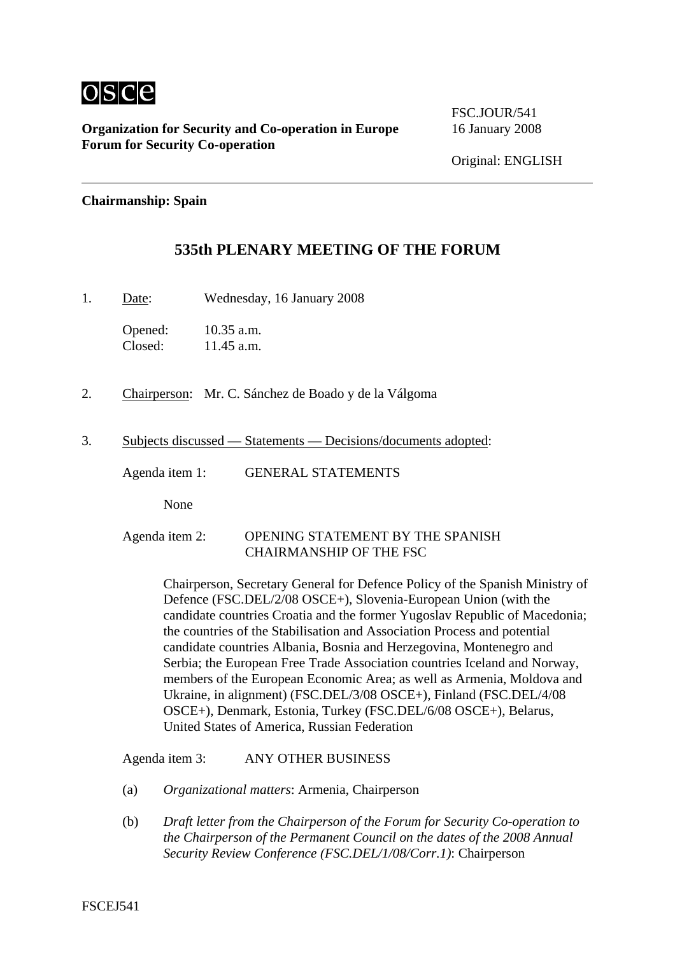

**Organization for Security and Co-operation in Europe** 16 January 2008 **Forum for Security Co-operation**

FSC.JOUR/541

## **Chairmanship: Spain**

## **535th PLENARY MEETING OF THE FORUM**

1. Date: Wednesday, 16 January 2008

Opened: 10.35 a.m. Closed: 11.45 a.m.

- 2. Chairperson: Mr. C. Sánchez de Boado y de la Válgoma
- 3. Subjects discussed Statements Decisions/documents adopted:

Agenda item 1: GENERAL STATEMENTS

None

## Agenda item 2: OPENING STATEMENT BY THE SPANISH CHAIRMANSHIP OF THE FSC

Chairperson, Secretary General for Defence Policy of the Spanish Ministry of Defence (FSC.DEL/2/08 OSCE+), Slovenia-European Union (with the candidate countries Croatia and the former Yugoslav Republic of Macedonia; the countries of the Stabilisation and Association Process and potential candidate countries Albania, Bosnia and Herzegovina, Montenegro and Serbia; the European Free Trade Association countries Iceland and Norway, members of the European Economic Area; as well as Armenia, Moldova and Ukraine, in alignment) (FSC.DEL/3/08 OSCE+), Finland (FSC.DEL/4/08 OSCE+), Denmark, Estonia, Turkey (FSC.DEL/6/08 OSCE+), Belarus, United States of America, Russian Federation

Agenda item 3: ANY OTHER BUSINESS

- (a) *Organizational matters*: Armenia, Chairperson
- (b) *Draft letter from the Chairperson of the Forum for Security Co-operation to the Chairperson of the Permanent Council on the dates of the 2008 Annual Security Review Conference (FSC.DEL/1/08/Corr.1)*: Chairperson